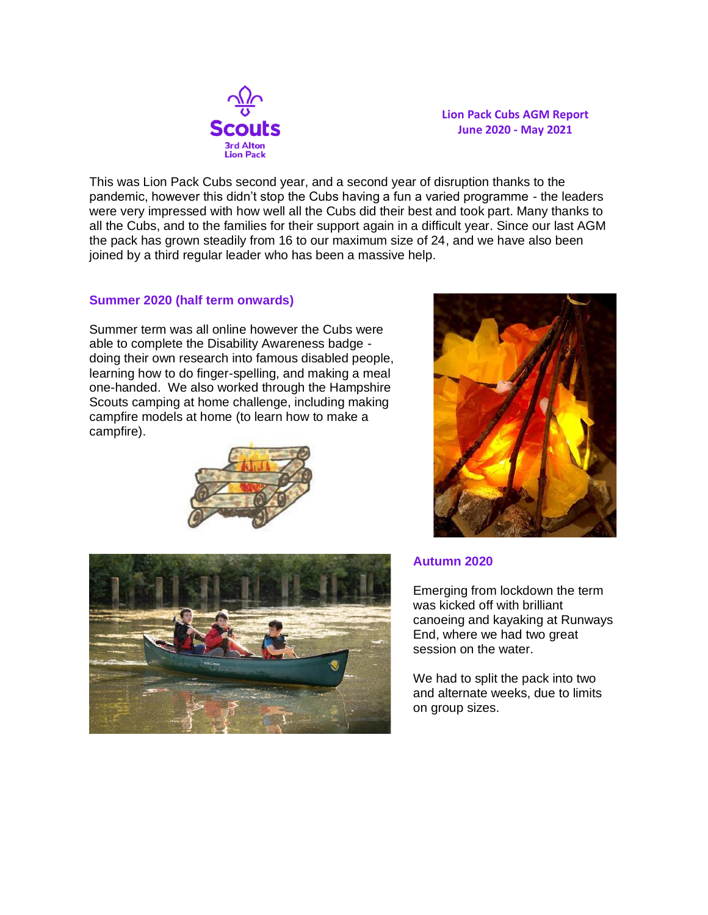

**Lion Pack Cubs AGM Report June 2020 - May 2021**

This was Lion Pack Cubs second year, and a second year of disruption thanks to the pandemic, however this didn't stop the Cubs having a fun a varied programme - the leaders were very impressed with how well all the Cubs did their best and took part. Many thanks to all the Cubs, and to the families for their support again in a difficult year. Since our last AGM the pack has grown steadily from 16 to our maximum size of 24, and we have also been joined by a third regular leader who has been a massive help.

## **Summer 2020 (half term onwards)**

Summer term was all online however the Cubs were able to complete the Disability Awareness badge doing their own research into famous disabled people, learning how to do finger-spelling, and making a meal one-handed. We also worked through the Hampshire Scouts camping at home challenge, including making campfire models at home (to learn how to make a campfire).







## **Autumn 2020**

Emerging from lockdown the term was kicked off with brilliant canoeing and kayaking at Runways End, where we had two great session on the water.

We had to split the pack into two and alternate weeks, due to limits on group sizes.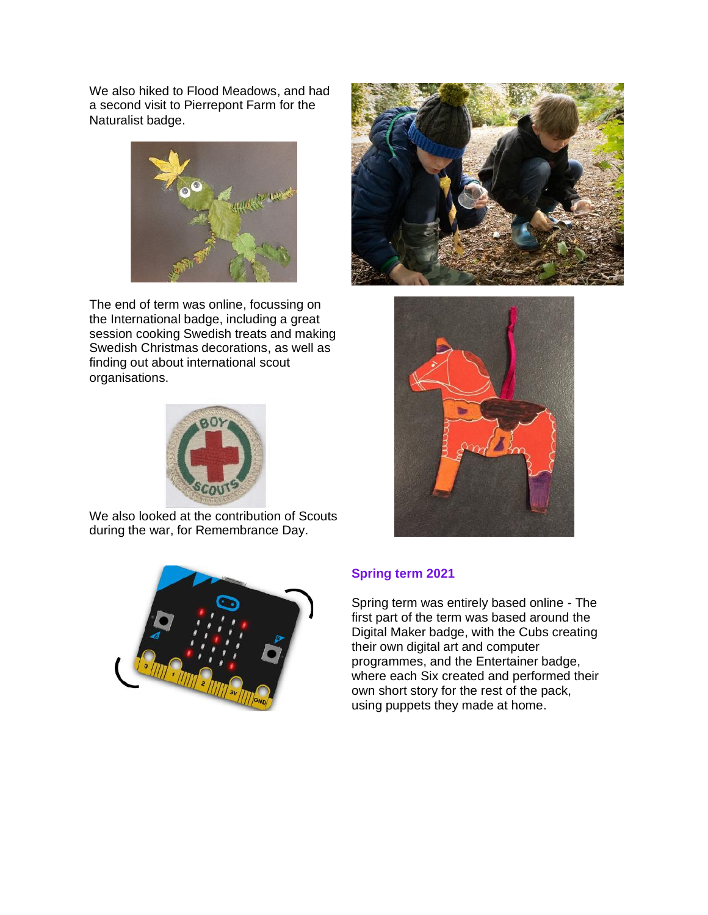We also hiked to Flood Meadows, and had a second visit to Pierrepont Farm for the Naturalist badge.



The end of term was online, focussing on the International badge, including a great session cooking Swedish treats and making Swedish Christmas decorations, as well as finding out about international scout organisations.



We also looked at the contribution of Scouts during the war, for Remembrance Day.







## **Spring term 2021**

Spring term was entirely based online - The first part of the term was based around the Digital Maker badge, with the Cubs creating their own digital art and computer programmes, and the Entertainer badge, where each Six created and performed their own short story for the rest of the pack, using puppets they made at home.